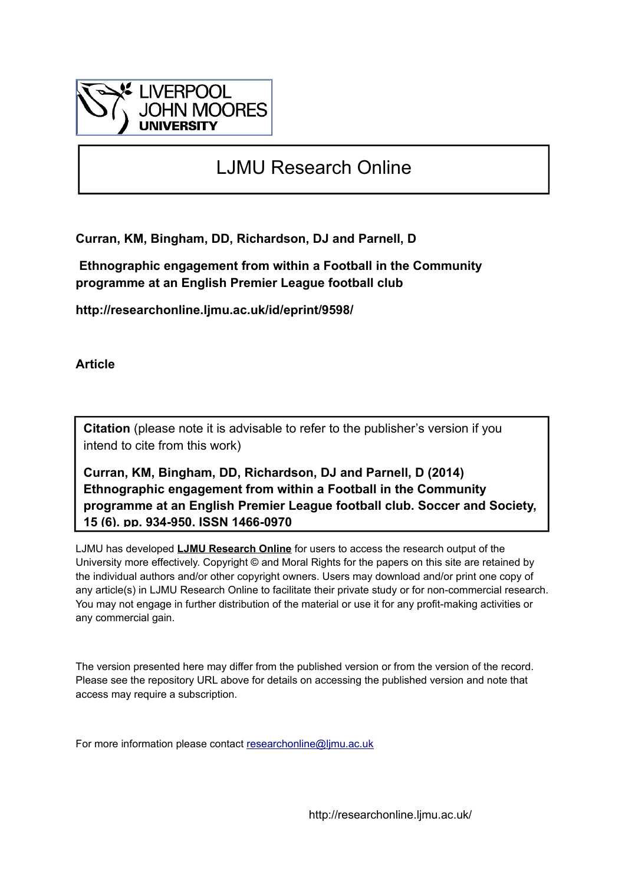

# LJMU Research Online

**Curran, KM, Bingham, DD, Richardson, DJ and Parnell, D**

 **Ethnographic engagement from within a Football in the Community programme at an English Premier League football club**

**http://researchonline.ljmu.ac.uk/id/eprint/9598/**

**Article**

**Citation** (please note it is advisable to refer to the publisher's version if you intend to cite from this work)

**Curran, KM, Bingham, DD, Richardson, DJ and Parnell, D (2014) Ethnographic engagement from within a Football in the Community programme at an English Premier League football club. Soccer and Society, 15 (6). pp. 934-950. ISSN 1466-0970** 

LJMU has developed **[LJMU Research Online](http://researchonline.ljmu.ac.uk/)** for users to access the research output of the University more effectively. Copyright © and Moral Rights for the papers on this site are retained by the individual authors and/or other copyright owners. Users may download and/or print one copy of any article(s) in LJMU Research Online to facilitate their private study or for non-commercial research. You may not engage in further distribution of the material or use it for any profit-making activities or any commercial gain.

The version presented here may differ from the published version or from the version of the record. Please see the repository URL above for details on accessing the published version and note that access may require a subscription.

For more information please contact [researchonline@ljmu.ac.uk](mailto:researchonline@ljmu.ac.uk)

http://researchonline.ljmu.ac.uk/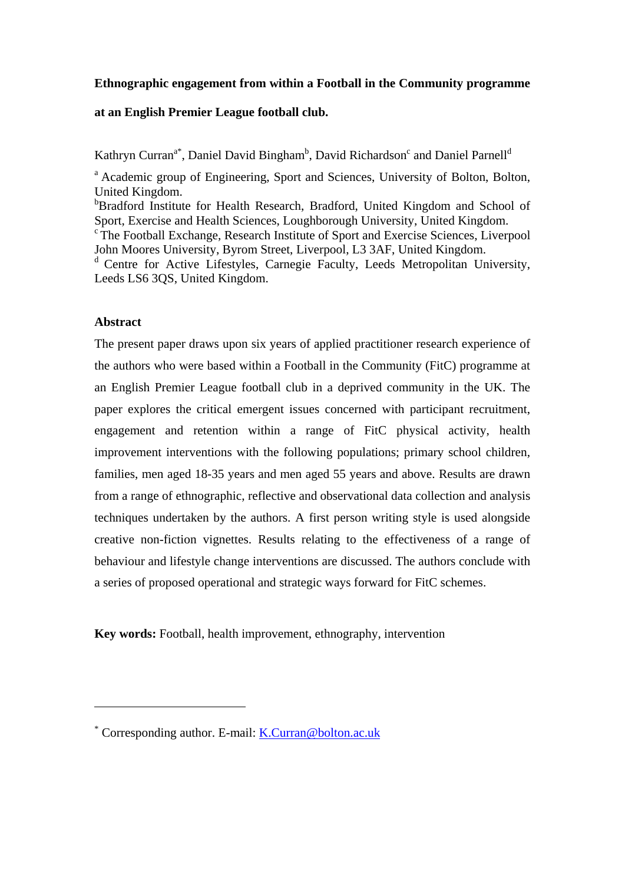# **Ethnographic engagement from within a Football in the Community programme**

# **at an English Premier League football club.**

Kathryn Curran<sup>a\*</sup>, Daniel David Bingham<sup>b</sup>, David Richardson<sup>c</sup> and Daniel Parnell<sup>d</sup>

<sup>a</sup> Academic group of Engineering, Sport and Sciences, University of Bolton, Bolton, United Kingdom.

**Bradford Institute for Health Research, Bradford, United Kingdom and School of** Sport, Exercise and Health Sciences, Loughborough University, United Kingdom.<br><sup>c</sup> The Football Exchange, Research Institute of Sport and Exercise Sciences, Liverpool John Moores University, Byrom Street, Liverpool, L3 3AF, United Kingdom.

d Centre for Active Lifestyles, Carnegie Faculty, Leeds Metropolitan University, Leeds LS6 3QS, United Kingdom.

# **Abstract**

1

The present paper draws upon six years of applied practitioner research experience of the authors who were based within a Football in the Community (FitC) programme at an English Premier League football club in a deprived community in the UK. The paper explores the critical emergent issues concerned with participant recruitment, engagement and retention within a range of FitC physical activity, health improvement interventions with the following populations; primary school children, families, men aged 18-35 years and men aged 55 years and above. Results are drawn from a range of ethnographic, reflective and observational data collection and analysis techniques undertaken by the authors. A first person writing style is used alongside creative non-fiction vignettes. Results relating to the effectiveness of a range of behaviour and lifestyle change interventions are discussed. The authors conclude with a series of proposed operational and strategic ways forward for FitC schemes.

**Key words:** Football, health improvement, ethnography, intervention

<sup>\*</sup> Corresponding author. E-mail: **K.Curran@bolton.ac.uk**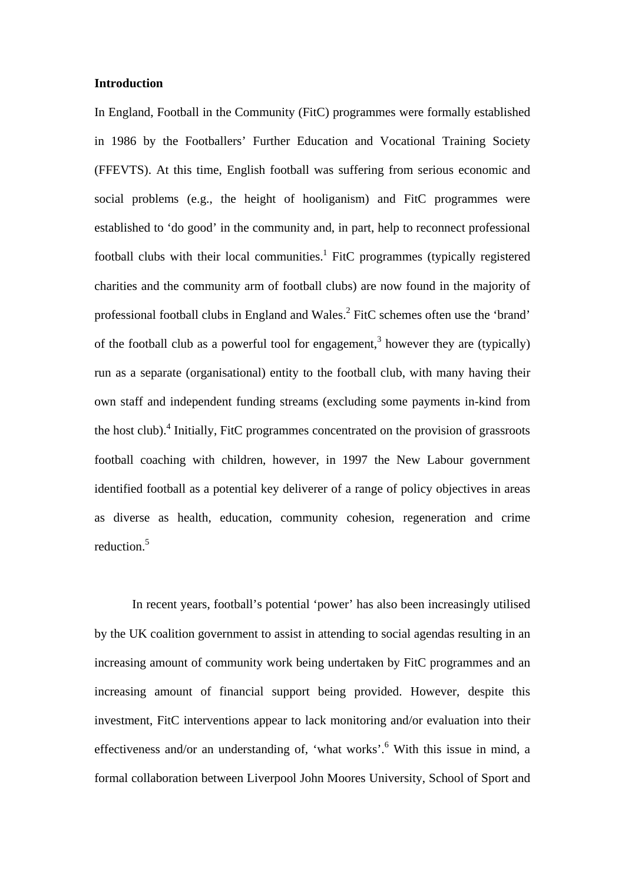#### **Introduction**

In England, Football in the Community (FitC) programmes were formally established in 1986 by the Footballers' Further Education and Vocational Training Society (FFEVTS). At this time, English football was suffering from serious economic and social problems (e.g., the height of hooliganism) and FitC programmes were established to 'do good' in the community and, in part, help to reconnect professional football clubs with their local communities.<sup>1</sup> FitC programmes (typically registered charities and the community arm of football clubs) are now found in the majority of professional football clubs in England and Wales.<sup>2</sup> FitC schemes often use the 'brand' of the football club as a powerful tool for engagement,<sup>3</sup> however they are (typically) run as a separate (organisational) entity to the football club, with many having their own staff and independent funding streams (excluding some payments in-kind from the host club).<sup>4</sup> Initially, FitC programmes concentrated on the provision of grassroots football coaching with children, however, in 1997 the New Labour government identified football as a potential key deliverer of a range of policy objectives in areas as diverse as health, education, community cohesion, regeneration and crime reduction.<sup>5</sup>

In recent years, football's potential 'power' has also been increasingly utilised by the UK coalition government to assist in attending to social agendas resulting in an increasing amount of community work being undertaken by FitC programmes and an increasing amount of financial support being provided. However, despite this investment, FitC interventions appear to lack monitoring and/or evaluation into their effectiveness and/or an understanding of, 'what works'.<sup>6</sup> With this issue in mind, a formal collaboration between Liverpool John Moores University, School of Sport and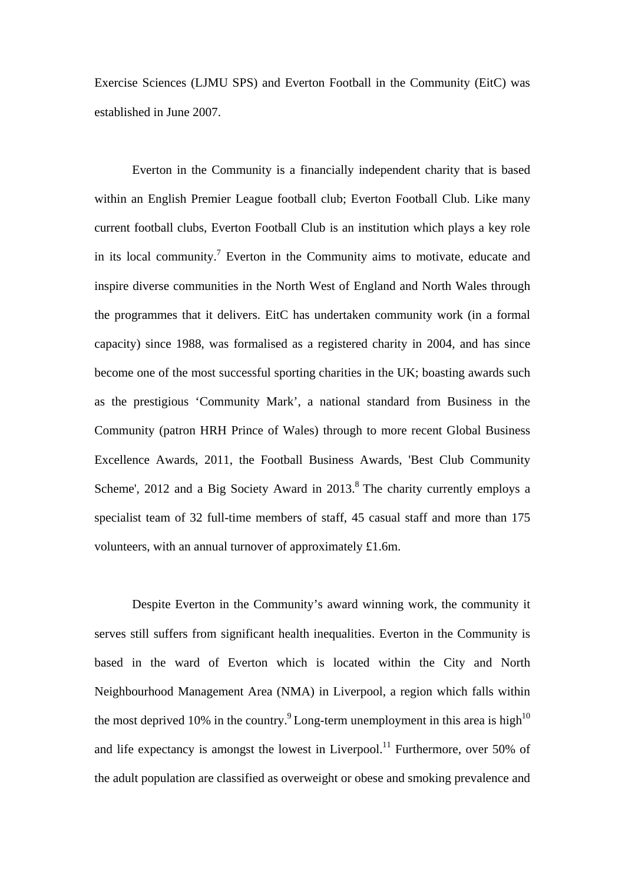Exercise Sciences (LJMU SPS) and Everton Football in the Community (EitC) was established in June 2007.

Everton in the Community is a financially independent charity that is based within an English Premier League football club; Everton Football Club. Like many current football clubs, Everton Football Club is an institution which plays a key role in its local community.<sup>7</sup> Everton in the Community aims to motivate, educate and inspire diverse communities in the North West of England and North Wales through the programmes that it delivers. EitC has undertaken community work (in a formal capacity) since 1988, was formalised as a registered charity in 2004, and has since become one of the most successful sporting charities in the UK; boasting awards such as the prestigious 'Community Mark', a national standard from Business in the Community (patron HRH Prince of Wales) through to more recent Global Business Excellence Awards, 2011, the Football Business Awards, 'Best Club Community Scheme',  $2012$  and a Big Society Award in  $2013$ .<sup>8</sup> The charity currently employs a specialist team of 32 full-time members of staff, 45 casual staff and more than 175 volunteers, with an annual turnover of approximately £1.6m.

Despite Everton in the Community's award winning work, the community it serves still suffers from significant health inequalities. Everton in the Community is based in the ward of Everton which is located within the City and North Neighbourhood Management Area (NMA) in Liverpool, a region which falls within the most deprived 10% in the country.<sup>9</sup> Long-term unemployment in this area is high<sup>10</sup> and life expectancy is amongst the lowest in Liverpool.<sup>11</sup> Furthermore, over 50% of the adult population are classified as overweight or obese and smoking prevalence and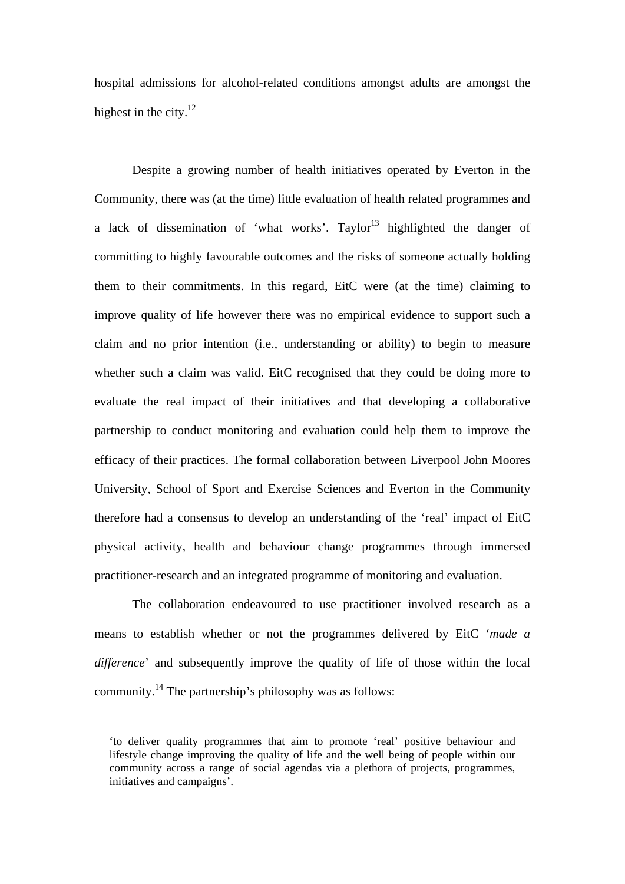hospital admissions for alcohol-related conditions amongst adults are amongst the highest in the city. $12$ 

Despite a growing number of health initiatives operated by Everton in the Community, there was (at the time) little evaluation of health related programmes and a lack of dissemination of 'what works'. Taylor<sup>13</sup> highlighted the danger of committing to highly favourable outcomes and the risks of someone actually holding them to their commitments. In this regard, EitC were (at the time) claiming to improve quality of life however there was no empirical evidence to support such a claim and no prior intention (i.e., understanding or ability) to begin to measure whether such a claim was valid. EitC recognised that they could be doing more to evaluate the real impact of their initiatives and that developing a collaborative partnership to conduct monitoring and evaluation could help them to improve the efficacy of their practices. The formal collaboration between Liverpool John Moores University, School of Sport and Exercise Sciences and Everton in the Community therefore had a consensus to develop an understanding of the 'real' impact of EitC physical activity, health and behaviour change programmes through immersed practitioner-research and an integrated programme of monitoring and evaluation.

The collaboration endeavoured to use practitioner involved research as a means to establish whether or not the programmes delivered by EitC '*made a difference*' and subsequently improve the quality of life of those within the local community.14 The partnership's philosophy was as follows:

<sup>&#</sup>x27;to deliver quality programmes that aim to promote 'real' positive behaviour and lifestyle change improving the quality of life and the well being of people within our community across a range of social agendas via a plethora of projects, programmes, initiatives and campaigns'.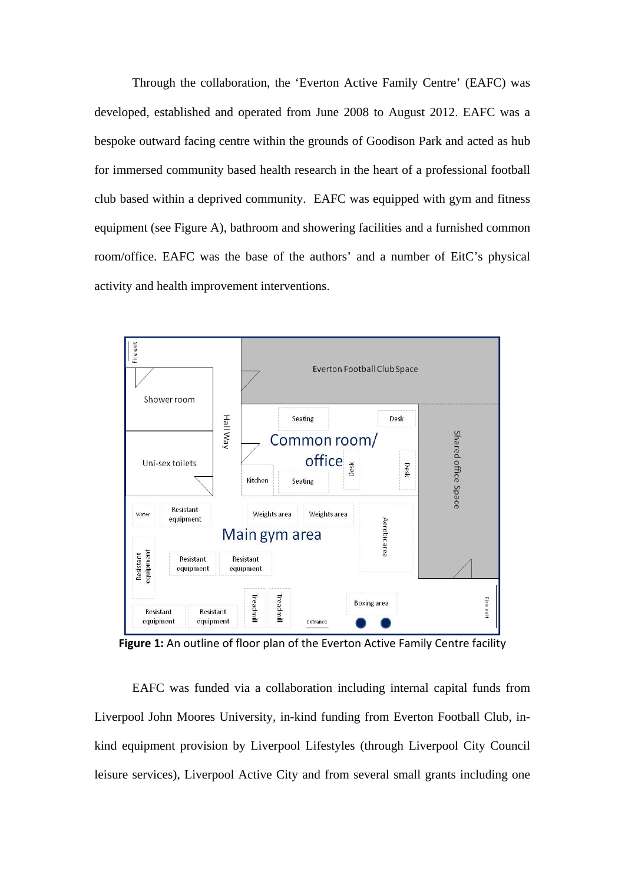Through the collaboration, the 'Everton Active Family Centre' (EAFC) was developed, established and operated from June 2008 to August 2012. EAFC was a bespoke outward facing centre within the grounds of Goodison Park and acted as hub for immersed community based health research in the heart of a professional football club based within a deprived community. EAFC was equipped with gym and fitness equipment (see Figure A), bathroom and showering facilities and a furnished common room/office. EAFC was the base of the authors' and a number of EitC's physical activity and health improvement interventions.



**Figure 1:** An outline of floor plan of the Everton Active Family Centre facility

EAFC was funded via a collaboration including internal capital funds from Liverpool John Moores University, in-kind funding from Everton Football Club, inkind equipment provision by Liverpool Lifestyles (through Liverpool City Council leisure services), Liverpool Active City and from several small grants including one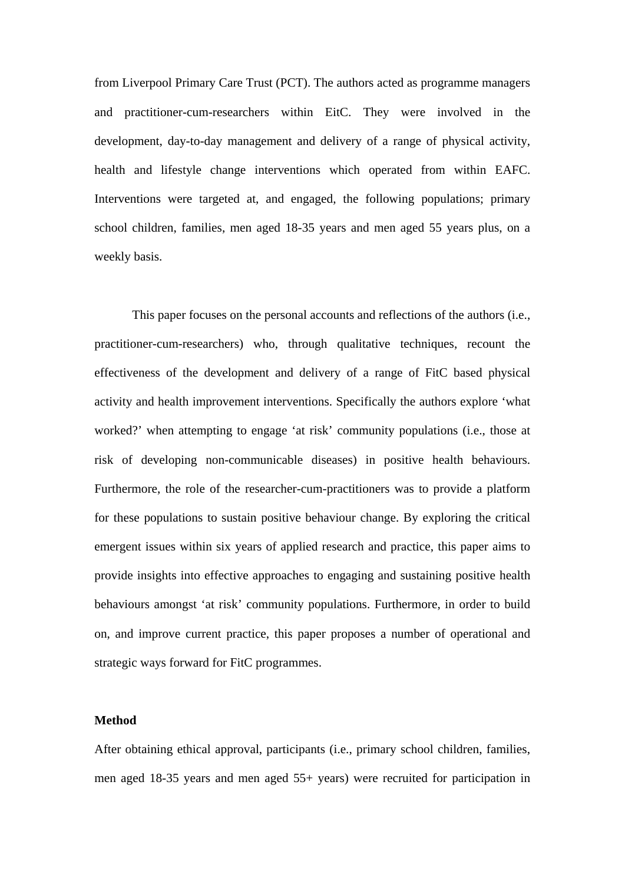from Liverpool Primary Care Trust (PCT). The authors acted as programme managers and practitioner-cum-researchers within EitC. They were involved in the development, day-to-day management and delivery of a range of physical activity, health and lifestyle change interventions which operated from within EAFC. Interventions were targeted at, and engaged, the following populations; primary school children, families, men aged 18-35 years and men aged 55 years plus, on a weekly basis.

This paper focuses on the personal accounts and reflections of the authors (i.e., practitioner-cum-researchers) who, through qualitative techniques, recount the effectiveness of the development and delivery of a range of FitC based physical activity and health improvement interventions. Specifically the authors explore 'what worked?' when attempting to engage 'at risk' community populations (i.e., those at risk of developing non-communicable diseases) in positive health behaviours. Furthermore, the role of the researcher-cum-practitioners was to provide a platform for these populations to sustain positive behaviour change. By exploring the critical emergent issues within six years of applied research and practice, this paper aims to provide insights into effective approaches to engaging and sustaining positive health behaviours amongst 'at risk' community populations. Furthermore, in order to build on, and improve current practice, this paper proposes a number of operational and strategic ways forward for FitC programmes.

# **Method**

After obtaining ethical approval, participants (i.e., primary school children, families, men aged 18-35 years and men aged 55+ years) were recruited for participation in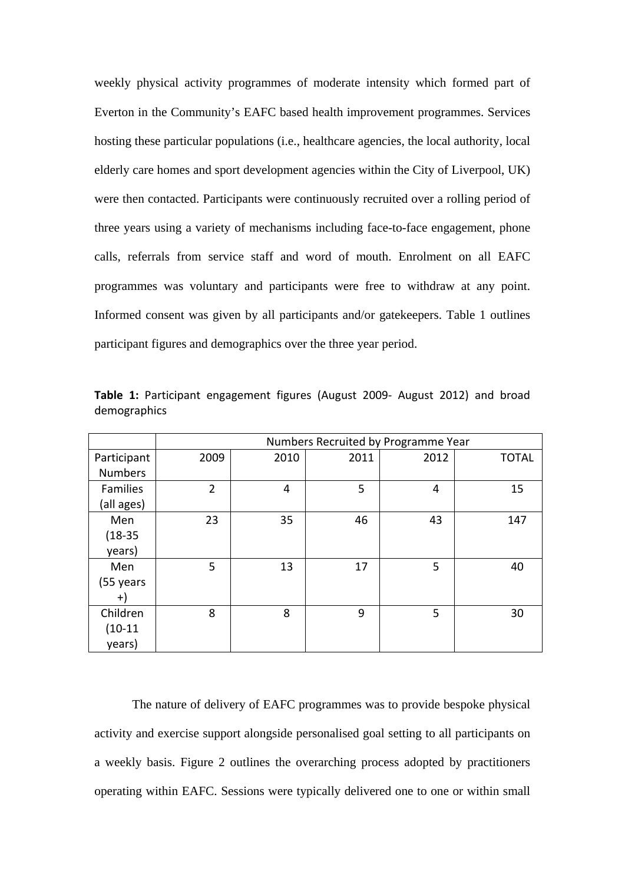weekly physical activity programmes of moderate intensity which formed part of Everton in the Community's EAFC based health improvement programmes. Services hosting these particular populations (i.e., healthcare agencies, the local authority, local elderly care homes and sport development agencies within the City of Liverpool, UK) were then contacted. Participants were continuously recruited over a rolling period of three years using a variety of mechanisms including face-to-face engagement, phone calls, referrals from service staff and word of mouth. Enrolment on all EAFC programmes was voluntary and participants were free to withdraw at any point. Informed consent was given by all participants and/or gatekeepers. Table 1 outlines participant figures and demographics over the three year period.

|                | Numbers Recruited by Programme Year |      |      |      |              |
|----------------|-------------------------------------|------|------|------|--------------|
| Participant    | 2009                                | 2010 | 2011 | 2012 | <b>TOTAL</b> |
| <b>Numbers</b> |                                     |      |      |      |              |
| Families       | $\overline{2}$                      | 4    | 5    | 4    | 15           |
| (all ages)     |                                     |      |      |      |              |
| Men            | 23                                  | 35   | 46   | 43   | 147          |
| $(18-35)$      |                                     |      |      |      |              |
| years)         |                                     |      |      |      |              |
| Men            | 5                                   | 13   | 17   | 5    | 40           |
| (55 years      |                                     |      |      |      |              |
| $+$            |                                     |      |      |      |              |
| Children       | 8                                   | 8    | 9    | 5    | 30           |
| $(10-11)$      |                                     |      |      |      |              |
| years)         |                                     |      |      |      |              |

**Table 1:** Participant engagement figures (August 2009‐ August 2012) and broad demographics

The nature of delivery of EAFC programmes was to provide bespoke physical activity and exercise support alongside personalised goal setting to all participants on a weekly basis. Figure 2 outlines the overarching process adopted by practitioners operating within EAFC. Sessions were typically delivered one to one or within small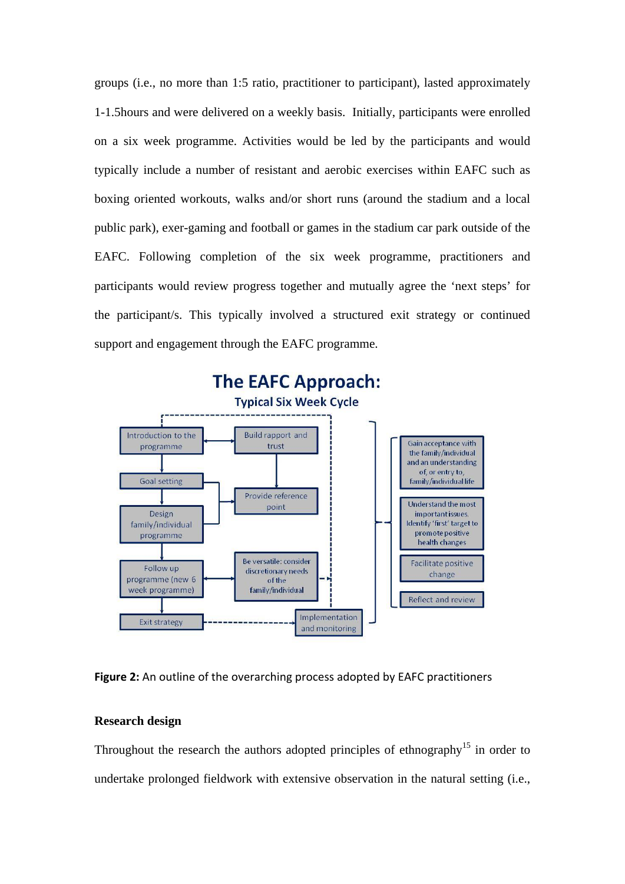groups (i.e., no more than 1:5 ratio, practitioner to participant), lasted approximately 1-1.5hours and were delivered on a weekly basis. Initially, participants were enrolled on a six week programme. Activities would be led by the participants and would typically include a number of resistant and aerobic exercises within EAFC such as boxing oriented workouts, walks and/or short runs (around the stadium and a local public park), exer-gaming and football or games in the stadium car park outside of the EAFC. Following completion of the six week programme, practitioners and participants would review progress together and mutually agree the 'next steps' for the participant/s. This typically involved a structured exit strategy or continued support and engagement through the EAFC programme.



**Figure 2:** An outline of the overarching process adopted by EAFC practitioners

# **Research design**

Throughout the research the authors adopted principles of ethnography<sup>15</sup> in order to undertake prolonged fieldwork with extensive observation in the natural setting (i.e.,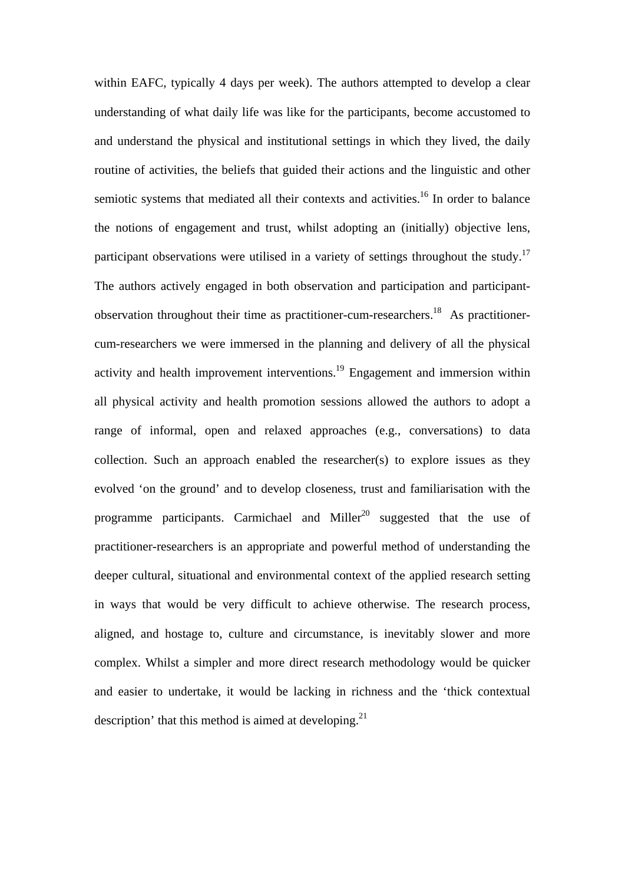within EAFC, typically 4 days per week). The authors attempted to develop a clear understanding of what daily life was like for the participants, become accustomed to and understand the physical and institutional settings in which they lived, the daily routine of activities, the beliefs that guided their actions and the linguistic and other semiotic systems that mediated all their contexts and activities.<sup>16</sup> In order to balance the notions of engagement and trust, whilst adopting an (initially) objective lens, participant observations were utilised in a variety of settings throughout the study.<sup>17</sup> The authors actively engaged in both observation and participation and participantobservation throughout their time as practitioner-cum-researchers.18 As practitionercum-researchers we were immersed in the planning and delivery of all the physical activity and health improvement interventions.<sup>19</sup> Engagement and immersion within all physical activity and health promotion sessions allowed the authors to adopt a range of informal, open and relaxed approaches (e.g., conversations) to data collection. Such an approach enabled the researcher(s) to explore issues as they evolved 'on the ground' and to develop closeness, trust and familiarisation with the programme participants. Carmichael and Miller<sup>20</sup> suggested that the use of practitioner-researchers is an appropriate and powerful method of understanding the deeper cultural, situational and environmental context of the applied research setting in ways that would be very difficult to achieve otherwise. The research process, aligned, and hostage to, culture and circumstance, is inevitably slower and more complex. Whilst a simpler and more direct research methodology would be quicker and easier to undertake, it would be lacking in richness and the 'thick contextual description' that this method is aimed at developing. $21$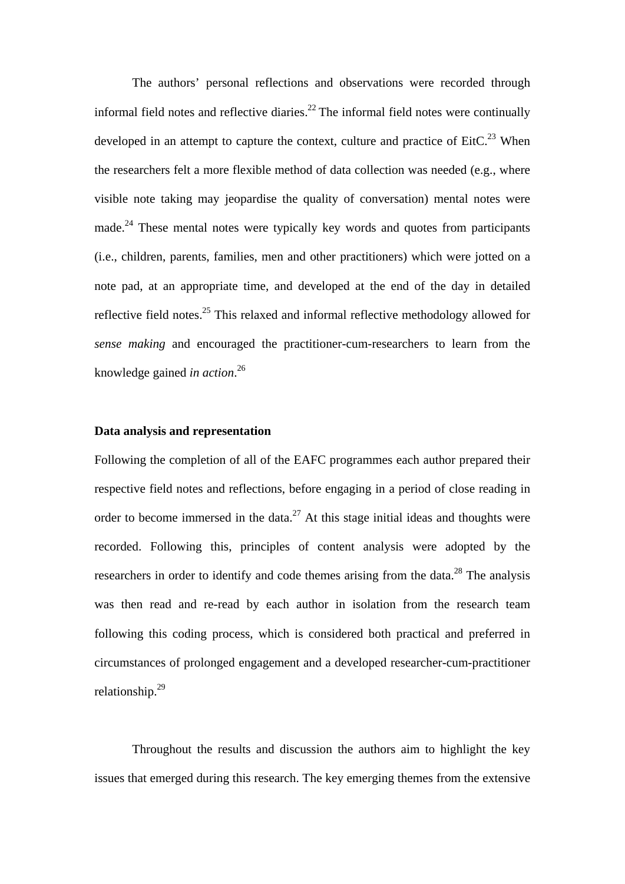The authors' personal reflections and observations were recorded through informal field notes and reflective diaries.<sup>22</sup> The informal field notes were continually developed in an attempt to capture the context, culture and practice of  $EitC<sup>23</sup>$  When the researchers felt a more flexible method of data collection was needed (e.g., where visible note taking may jeopardise the quality of conversation) mental notes were made.<sup>24</sup> These mental notes were typically key words and quotes from participants (i.e., children, parents, families, men and other practitioners) which were jotted on a note pad, at an appropriate time, and developed at the end of the day in detailed reflective field notes.<sup>25</sup> This relaxed and informal reflective methodology allowed for *sense making* and encouraged the practitioner-cum-researchers to learn from the knowledge gained *in action*. 26

### **Data analysis and representation**

Following the completion of all of the EAFC programmes each author prepared their respective field notes and reflections, before engaging in a period of close reading in order to become immersed in the data.<sup>27</sup> At this stage initial ideas and thoughts were recorded. Following this, principles of content analysis were adopted by the researchers in order to identify and code themes arising from the data.<sup>28</sup> The analysis was then read and re-read by each author in isolation from the research team following this coding process, which is considered both practical and preferred in circumstances of prolonged engagement and a developed researcher-cum-practitioner relationship.29

Throughout the results and discussion the authors aim to highlight the key issues that emerged during this research. The key emerging themes from the extensive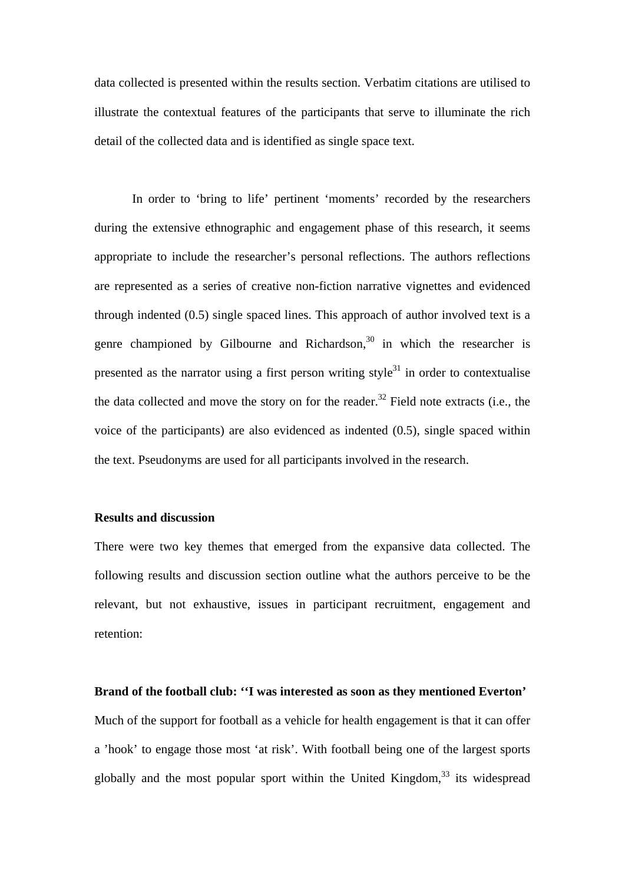data collected is presented within the results section. Verbatim citations are utilised to illustrate the contextual features of the participants that serve to illuminate the rich detail of the collected data and is identified as single space text.

In order to 'bring to life' pertinent 'moments' recorded by the researchers during the extensive ethnographic and engagement phase of this research, it seems appropriate to include the researcher's personal reflections. The authors reflections are represented as a series of creative non-fiction narrative vignettes and evidenced through indented (0.5) single spaced lines. This approach of author involved text is a genre championed by Gilbourne and Richardson,  $30$  in which the researcher is presented as the narrator using a first person writing style $31$  in order to contextualise the data collected and move the story on for the reader.<sup>32</sup> Field note extracts (i.e., the voice of the participants) are also evidenced as indented (0.5), single spaced within the text. Pseudonyms are used for all participants involved in the research.

# **Results and discussion**

There were two key themes that emerged from the expansive data collected. The following results and discussion section outline what the authors perceive to be the relevant, but not exhaustive, issues in participant recruitment, engagement and retention:

#### **Brand of the football club: ''I was interested as soon as they mentioned Everton'**

Much of the support for football as a vehicle for health engagement is that it can offer a 'hook' to engage those most 'at risk'. With football being one of the largest sports globally and the most popular sport within the United Kingdom,  $33$  its widespread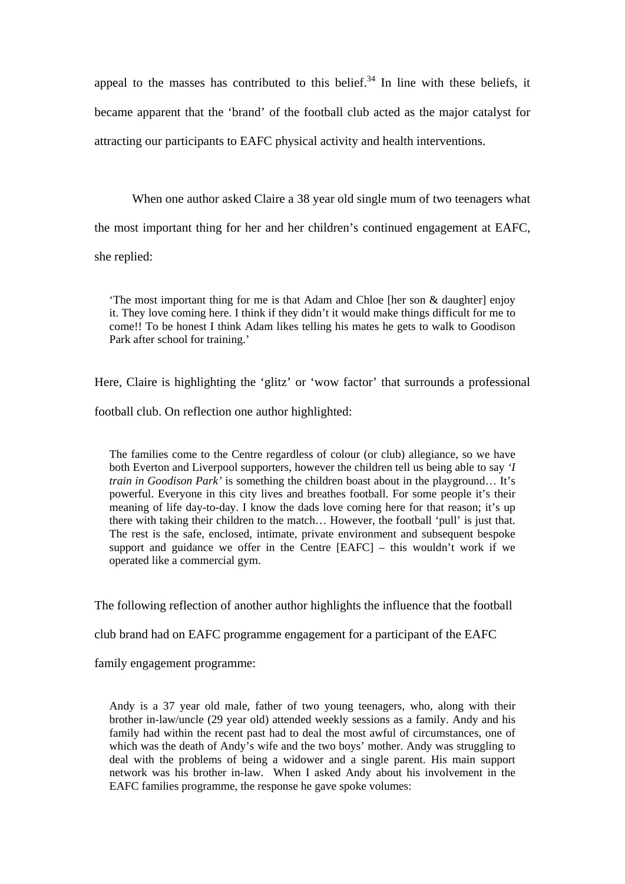appeal to the masses has contributed to this belief.<sup>34</sup> In line with these beliefs, it became apparent that the 'brand' of the football club acted as the major catalyst for attracting our participants to EAFC physical activity and health interventions.

When one author asked Claire a 38 year old single mum of two teenagers what the most important thing for her and her children's continued engagement at EAFC, she replied:

'The most important thing for me is that Adam and Chloe [her son & daughter] enjoy it. They love coming here. I think if they didn't it would make things difficult for me to come!! To be honest I think Adam likes telling his mates he gets to walk to Goodison Park after school for training.'

Here, Claire is highlighting the 'glitz' or 'wow factor' that surrounds a professional football club. On reflection one author highlighted:

The families come to the Centre regardless of colour (or club) allegiance, so we have both Everton and Liverpool supporters, however the children tell us being able to say *'I train in Goodison Park'* is something the children boast about in the playground… It's powerful. Everyone in this city lives and breathes football. For some people it's their meaning of life day-to-day. I know the dads love coming here for that reason; it's up there with taking their children to the match… However, the football 'pull' is just that. The rest is the safe, enclosed, intimate, private environment and subsequent bespoke support and guidance we offer in the Centre  $[EAFC]$  – this wouldn't work if we operated like a commercial gym.

The following reflection of another author highlights the influence that the football

club brand had on EAFC programme engagement for a participant of the EAFC

family engagement programme:

Andy is a 37 year old male, father of two young teenagers, who, along with their brother in-law/uncle (29 year old) attended weekly sessions as a family. Andy and his family had within the recent past had to deal the most awful of circumstances, one of which was the death of Andy's wife and the two boys' mother. Andy was struggling to deal with the problems of being a widower and a single parent. His main support network was his brother in-law. When I asked Andy about his involvement in the EAFC families programme, the response he gave spoke volumes: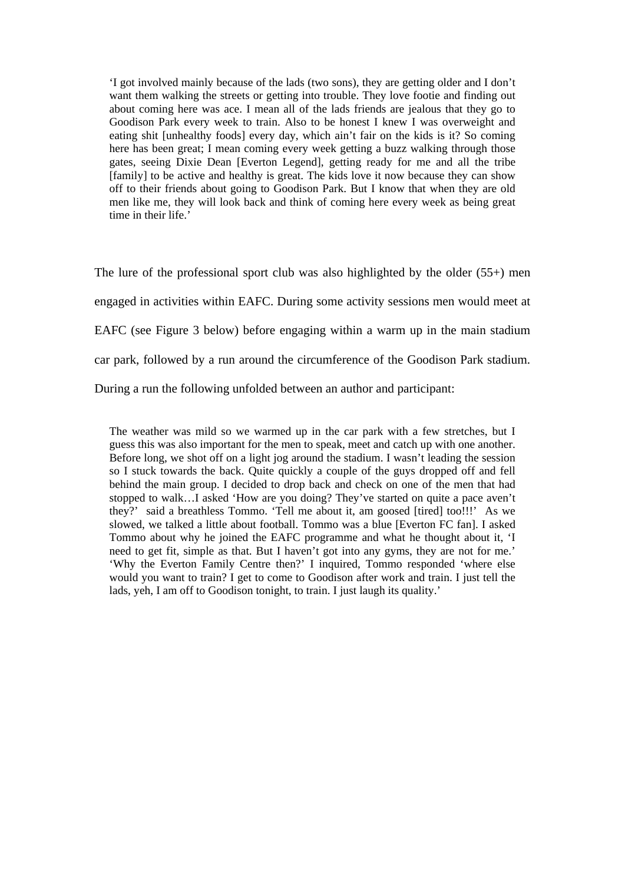'I got involved mainly because of the lads (two sons), they are getting older and I don't want them walking the streets or getting into trouble. They love footie and finding out about coming here was ace. I mean all of the lads friends are jealous that they go to Goodison Park every week to train. Also to be honest I knew I was overweight and eating shit [unhealthy foods] every day, which ain't fair on the kids is it? So coming here has been great; I mean coming every week getting a buzz walking through those gates, seeing Dixie Dean [Everton Legend], getting ready for me and all the tribe [family] to be active and healthy is great. The kids love it now because they can show off to their friends about going to Goodison Park. But I know that when they are old men like me, they will look back and think of coming here every week as being great time in their life.'

The lure of the professional sport club was also highlighted by the older  $(55+)$  men engaged in activities within EAFC. During some activity sessions men would meet at EAFC (see Figure 3 below) before engaging within a warm up in the main stadium car park, followed by a run around the circumference of the Goodison Park stadium. During a run the following unfolded between an author and participant:

The weather was mild so we warmed up in the car park with a few stretches, but I guess this was also important for the men to speak, meet and catch up with one another. Before long, we shot off on a light jog around the stadium. I wasn't leading the session so I stuck towards the back. Quite quickly a couple of the guys dropped off and fell behind the main group. I decided to drop back and check on one of the men that had stopped to walk…I asked 'How are you doing? They've started on quite a pace aven't they?' said a breathless Tommo. 'Tell me about it, am goosed [tired] too!!!' As we slowed, we talked a little about football. Tommo was a blue [Everton FC fan]. I asked Tommo about why he joined the EAFC programme and what he thought about it, 'I need to get fit, simple as that. But I haven't got into any gyms, they are not for me.' 'Why the Everton Family Centre then?' I inquired, Tommo responded 'where else would you want to train? I get to come to Goodison after work and train. I just tell the lads, yeh, I am off to Goodison tonight, to train. I just laugh its quality.'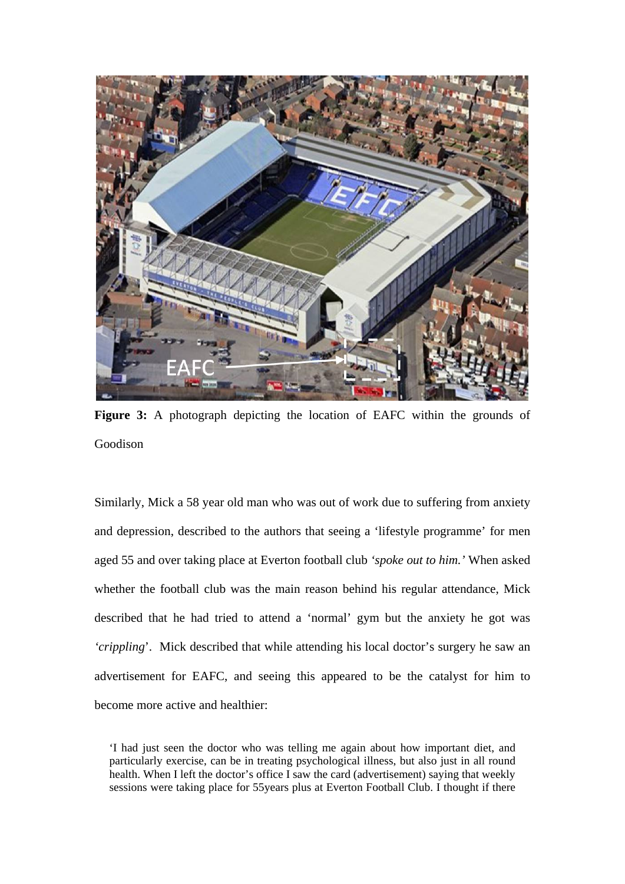

**Figure 3:** A photograph depicting the location of EAFC within the grounds of Goodison

Similarly, Mick a 58 year old man who was out of work due to suffering from anxiety and depression, described to the authors that seeing a 'lifestyle programme' for men aged 55 and over taking place at Everton football club *'spoke out to him.'* When asked whether the football club was the main reason behind his regular attendance, Mick described that he had tried to attend a 'normal' gym but the anxiety he got was *'crippling*'. Mick described that while attending his local doctor's surgery he saw an advertisement for EAFC, and seeing this appeared to be the catalyst for him to become more active and healthier:

'I had just seen the doctor who was telling me again about how important diet, and particularly exercise, can be in treating psychological illness, but also just in all round health. When I left the doctor's office I saw the card (advertisement) saying that weekly sessions were taking place for 55years plus at Everton Football Club. I thought if there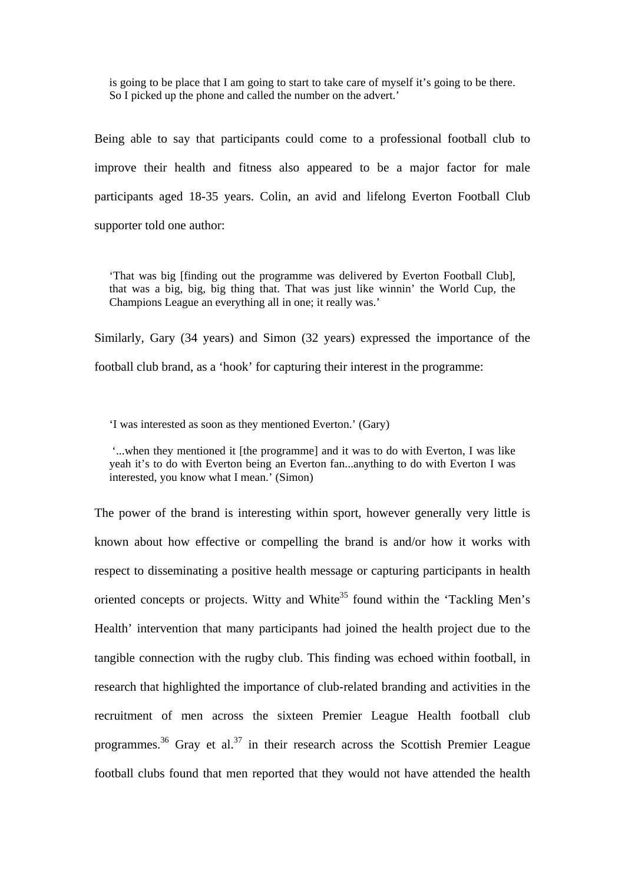is going to be place that I am going to start to take care of myself it's going to be there. So I picked up the phone and called the number on the advert.'

Being able to say that participants could come to a professional football club to improve their health and fitness also appeared to be a major factor for male participants aged 18-35 years. Colin, an avid and lifelong Everton Football Club supporter told one author:

'That was big [finding out the programme was delivered by Everton Football Club], that was a big, big, big thing that. That was just like winnin' the World Cup, the Champions League an everything all in one; it really was.'

Similarly, Gary (34 years) and Simon (32 years) expressed the importance of the football club brand, as a 'hook' for capturing their interest in the programme:

'I was interested as soon as they mentioned Everton.' (Gary)

'...when they mentioned it [the programme] and it was to do with Everton, I was like yeah it's to do with Everton being an Everton fan...anything to do with Everton I was interested, you know what I mean.' (Simon)

The power of the brand is interesting within sport, however generally very little is known about how effective or compelling the brand is and/or how it works with respect to disseminating a positive health message or capturing participants in health oriented concepts or projects. Witty and White<sup>35</sup> found within the 'Tackling Men's Health' intervention that many participants had joined the health project due to the tangible connection with the rugby club. This finding was echoed within football, in research that highlighted the importance of club-related branding and activities in the recruitment of men across the sixteen Premier League Health football club programmes.<sup>36</sup> Gray et al.<sup>37</sup> in their research across the Scottish Premier League football clubs found that men reported that they would not have attended the health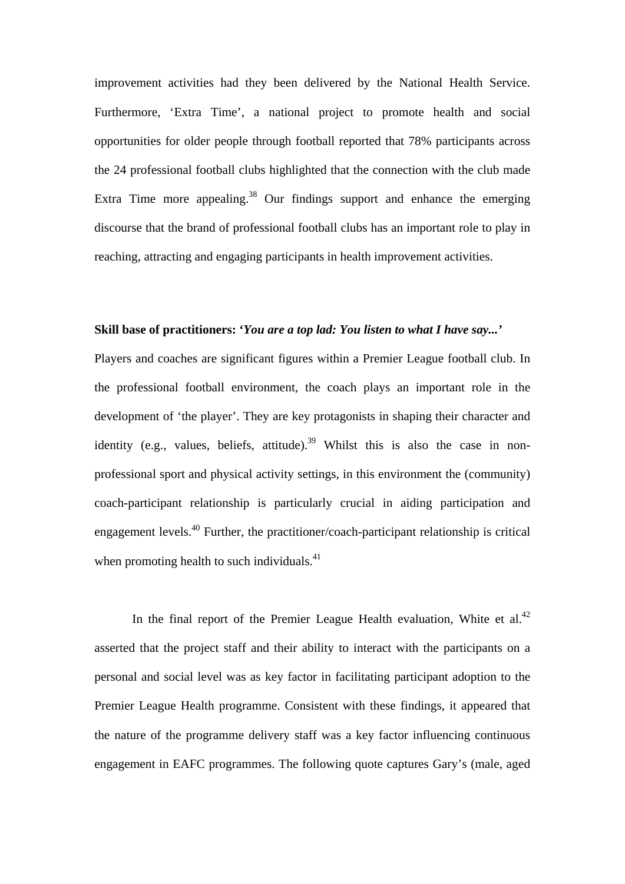improvement activities had they been delivered by the National Health Service. Furthermore, 'Extra Time', a national project to promote health and social opportunities for older people through football reported that 78% participants across the 24 professional football clubs highlighted that the connection with the club made Extra Time more appealing.<sup>38</sup> Our findings support and enhance the emerging discourse that the brand of professional football clubs has an important role to play in reaching, attracting and engaging participants in health improvement activities.

# **Skill base of practitioners: '***You are a top lad: You listen to what I have say...'*

Players and coaches are significant figures within a Premier League football club. In the professional football environment, the coach plays an important role in the development of 'the player'. They are key protagonists in shaping their character and identity (e.g., values, beliefs, attitude).<sup>39</sup> Whilst this is also the case in nonprofessional sport and physical activity settings, in this environment the (community) coach-participant relationship is particularly crucial in aiding participation and engagement levels.40 Further, the practitioner/coach-participant relationship is critical when promoting health to such individuals. $41$ 

In the final report of the Premier League Health evaluation, White et al. $42$ asserted that the project staff and their ability to interact with the participants on a personal and social level was as key factor in facilitating participant adoption to the Premier League Health programme. Consistent with these findings, it appeared that the nature of the programme delivery staff was a key factor influencing continuous engagement in EAFC programmes. The following quote captures Gary's (male, aged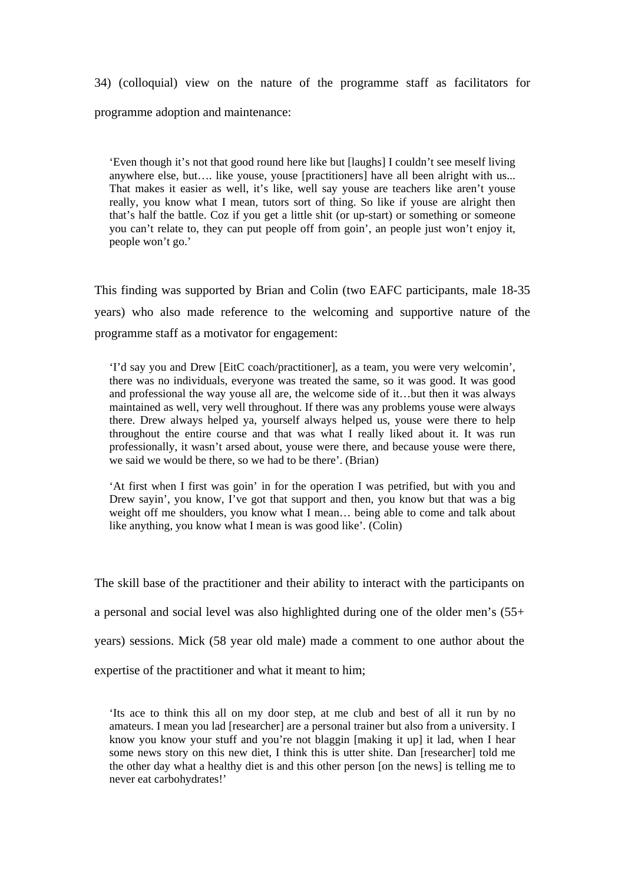34) (colloquial) view on the nature of the programme staff as facilitators for programme adoption and maintenance:

'Even though it's not that good round here like but [laughs] I couldn't see meself living anywhere else, but…. like youse, youse [practitioners] have all been alright with us... That makes it easier as well, it's like, well say youse are teachers like aren't youse really, you know what I mean, tutors sort of thing. So like if youse are alright then that's half the battle. Coz if you get a little shit (or up-start) or something or someone you can't relate to, they can put people off from goin', an people just won't enjoy it, people won't go.'

This finding was supported by Brian and Colin (two EAFC participants, male 18-35 years) who also made reference to the welcoming and supportive nature of the programme staff as a motivator for engagement:

'I'd say you and Drew [EitC coach/practitioner], as a team, you were very welcomin', there was no individuals, everyone was treated the same, so it was good. It was good and professional the way youse all are, the welcome side of it…but then it was always maintained as well, very well throughout. If there was any problems youse were always there. Drew always helped ya, yourself always helped us, youse were there to help throughout the entire course and that was what I really liked about it. It was run professionally, it wasn't arsed about, youse were there, and because youse were there, we said we would be there, so we had to be there'. (Brian)

'At first when I first was goin' in for the operation I was petrified, but with you and Drew sayin', you know, I've got that support and then, you know but that was a big weight off me shoulders, you know what I mean… being able to come and talk about like anything, you know what I mean is was good like'. (Colin)

The skill base of the practitioner and their ability to interact with the participants on a personal and social level was also highlighted during one of the older men's (55+ years) sessions. Mick (58 year old male) made a comment to one author about the expertise of the practitioner and what it meant to him;

'Its ace to think this all on my door step, at me club and best of all it run by no amateurs. I mean you lad [researcher] are a personal trainer but also from a university. I know you know your stuff and you're not blaggin [making it up] it lad, when I hear some news story on this new diet, I think this is utter shite. Dan [researcher] told me the other day what a healthy diet is and this other person [on the news] is telling me to never eat carbohydrates!'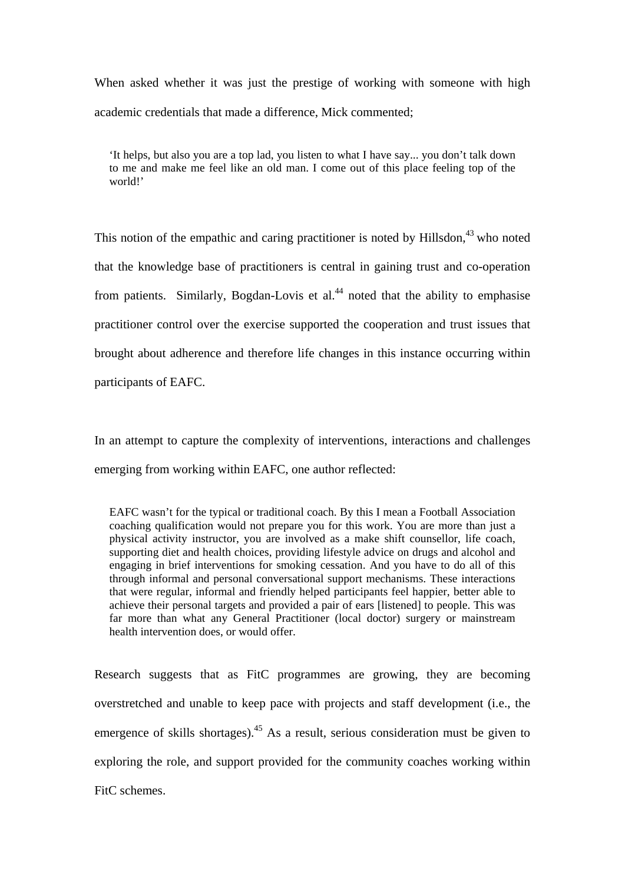When asked whether it was just the prestige of working with someone with high academic credentials that made a difference, Mick commented;

'It helps, but also you are a top lad, you listen to what I have say... you don't talk down to me and make me feel like an old man. I come out of this place feeling top of the world!'

This notion of the empathic and caring practitioner is noted by Hillsdon,  $43$  who noted that the knowledge base of practitioners is central in gaining trust and co-operation from patients. Similarly, Bogdan-Lovis et al.<sup>44</sup> noted that the ability to emphasise practitioner control over the exercise supported the cooperation and trust issues that brought about adherence and therefore life changes in this instance occurring within participants of EAFC.

In an attempt to capture the complexity of interventions, interactions and challenges emerging from working within EAFC, one author reflected:

EAFC wasn't for the typical or traditional coach. By this I mean a Football Association coaching qualification would not prepare you for this work. You are more than just a physical activity instructor, you are involved as a make shift counsellor, life coach, supporting diet and health choices, providing lifestyle advice on drugs and alcohol and engaging in brief interventions for smoking cessation. And you have to do all of this through informal and personal conversational support mechanisms. These interactions that were regular, informal and friendly helped participants feel happier, better able to achieve their personal targets and provided a pair of ears [listened] to people. This was far more than what any General Practitioner (local doctor) surgery or mainstream health intervention does, or would offer

Research suggests that as FitC programmes are growing, they are becoming overstretched and unable to keep pace with projects and staff development (i.e., the emergence of skills shortages).<sup>45</sup> As a result, serious consideration must be given to exploring the role, and support provided for the community coaches working within FitC schemes.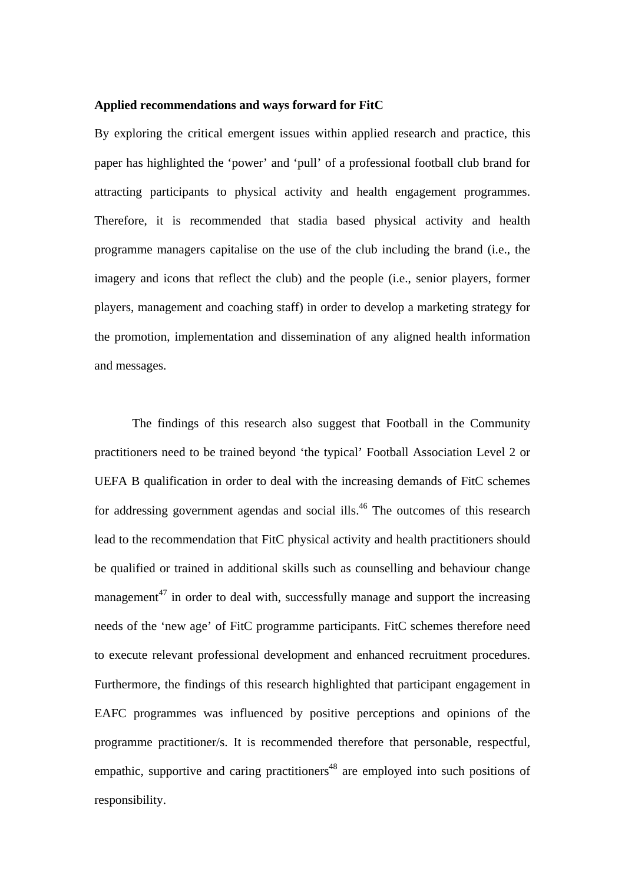#### **Applied recommendations and ways forward for FitC**

By exploring the critical emergent issues within applied research and practice, this paper has highlighted the 'power' and 'pull' of a professional football club brand for attracting participants to physical activity and health engagement programmes. Therefore, it is recommended that stadia based physical activity and health programme managers capitalise on the use of the club including the brand (i.e., the imagery and icons that reflect the club) and the people (i.e., senior players, former players, management and coaching staff) in order to develop a marketing strategy for the promotion, implementation and dissemination of any aligned health information and messages.

The findings of this research also suggest that Football in the Community practitioners need to be trained beyond 'the typical' Football Association Level 2 or UEFA B qualification in order to deal with the increasing demands of FitC schemes for addressing government agendas and social ills.<sup>46</sup> The outcomes of this research lead to the recommendation that FitC physical activity and health practitioners should be qualified or trained in additional skills such as counselling and behaviour change management<sup>47</sup> in order to deal with, successfully manage and support the increasing needs of the 'new age' of FitC programme participants. FitC schemes therefore need to execute relevant professional development and enhanced recruitment procedures. Furthermore, the findings of this research highlighted that participant engagement in EAFC programmes was influenced by positive perceptions and opinions of the programme practitioner/s. It is recommended therefore that personable, respectful, empathic, supportive and caring practitioners<sup>48</sup> are employed into such positions of responsibility.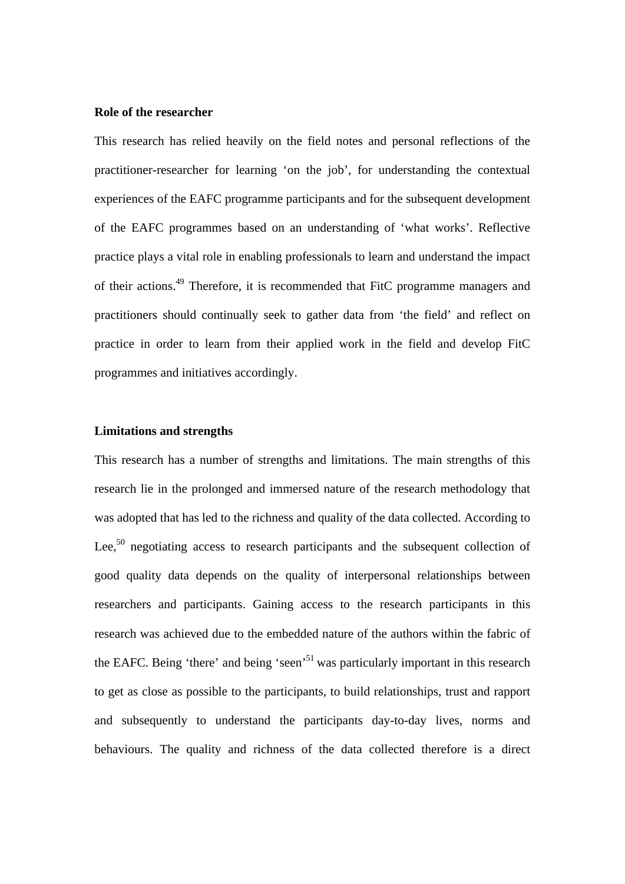#### **Role of the researcher**

This research has relied heavily on the field notes and personal reflections of the practitioner-researcher for learning 'on the job', for understanding the contextual experiences of the EAFC programme participants and for the subsequent development of the EAFC programmes based on an understanding of 'what works'. Reflective practice plays a vital role in enabling professionals to learn and understand the impact of their actions.49 Therefore, it is recommended that FitC programme managers and practitioners should continually seek to gather data from 'the field' and reflect on practice in order to learn from their applied work in the field and develop FitC programmes and initiatives accordingly.

# **Limitations and strengths**

This research has a number of strengths and limitations. The main strengths of this research lie in the prolonged and immersed nature of the research methodology that was adopted that has led to the richness and quality of the data collected. According to Lee,<sup>50</sup> negotiating access to research participants and the subsequent collection of good quality data depends on the quality of interpersonal relationships between researchers and participants. Gaining access to the research participants in this research was achieved due to the embedded nature of the authors within the fabric of the EAFC. Being 'there' and being 'seen'<sup>51</sup> was particularly important in this research to get as close as possible to the participants, to build relationships, trust and rapport and subsequently to understand the participants day-to-day lives, norms and behaviours. The quality and richness of the data collected therefore is a direct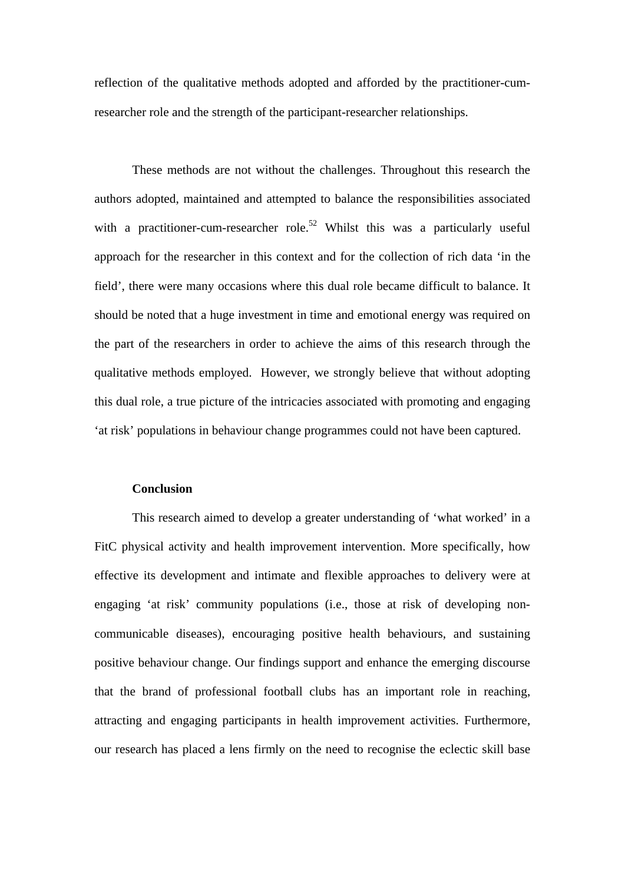reflection of the qualitative methods adopted and afforded by the practitioner-cumresearcher role and the strength of the participant-researcher relationships.

These methods are not without the challenges. Throughout this research the authors adopted, maintained and attempted to balance the responsibilities associated with a practitioner-cum-researcher role.<sup>52</sup> Whilst this was a particularly useful approach for the researcher in this context and for the collection of rich data 'in the field', there were many occasions where this dual role became difficult to balance. It should be noted that a huge investment in time and emotional energy was required on the part of the researchers in order to achieve the aims of this research through the qualitative methods employed. However, we strongly believe that without adopting this dual role, a true picture of the intricacies associated with promoting and engaging 'at risk' populations in behaviour change programmes could not have been captured.

#### **Conclusion**

This research aimed to develop a greater understanding of 'what worked' in a FitC physical activity and health improvement intervention. More specifically, how effective its development and intimate and flexible approaches to delivery were at engaging 'at risk' community populations (i.e., those at risk of developing noncommunicable diseases), encouraging positive health behaviours, and sustaining positive behaviour change. Our findings support and enhance the emerging discourse that the brand of professional football clubs has an important role in reaching, attracting and engaging participants in health improvement activities. Furthermore, our research has placed a lens firmly on the need to recognise the eclectic skill base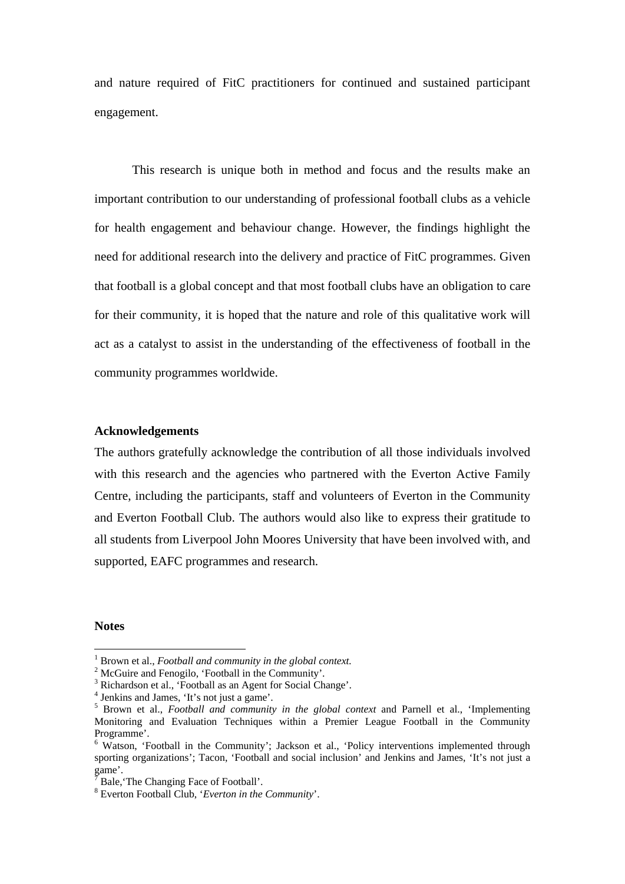and nature required of FitC practitioners for continued and sustained participant engagement.

This research is unique both in method and focus and the results make an important contribution to our understanding of professional football clubs as a vehicle for health engagement and behaviour change. However, the findings highlight the need for additional research into the delivery and practice of FitC programmes. Given that football is a global concept and that most football clubs have an obligation to care for their community, it is hoped that the nature and role of this qualitative work will act as a catalyst to assist in the understanding of the effectiveness of football in the community programmes worldwide.

# **Acknowledgements**

The authors gratefully acknowledge the contribution of all those individuals involved with this research and the agencies who partnered with the Everton Active Family Centre, including the participants, staff and volunteers of Everton in the Community and Everton Football Club. The authors would also like to express their gratitude to all students from Liverpool John Moores University that have been involved with, and supported, EAFC programmes and research.

#### **Notes**

<u>.</u>

<sup>&</sup>lt;sup>1</sup> Brown et al., *Football and community in the global context.*  $2^{2}$  McCuire and Equation: **Example 1** in the Community.

<sup>&</sup>lt;sup>2</sup> McGuire and Fenogilo, 'Football in the Community'.

 $3$  Richardson et al., 'Football as an Agent for Social Change'.

<sup>&</sup>lt;sup>4</sup> Jenkins and James, 'It's not just a game'.

<sup>&</sup>lt;sup>5</sup> Brown et al., *Football and community in the global context* and Parnell et al., 'Implementing Monitoring and Evaluation Techniques within a Premier League Football in the Community Programme'.

<sup>&</sup>lt;sup>6</sup> Watson, 'Football in the Community'; Jackson et al., 'Policy interventions implemented through sporting organizations'; Tacon, 'Football and social inclusion' and Jenkins and James, 'It's not just a game'.

<sup>7</sup> Bale,'The Changing Face of Football'.

<sup>8</sup> Everton Football Club, '*Everton in the Community*'.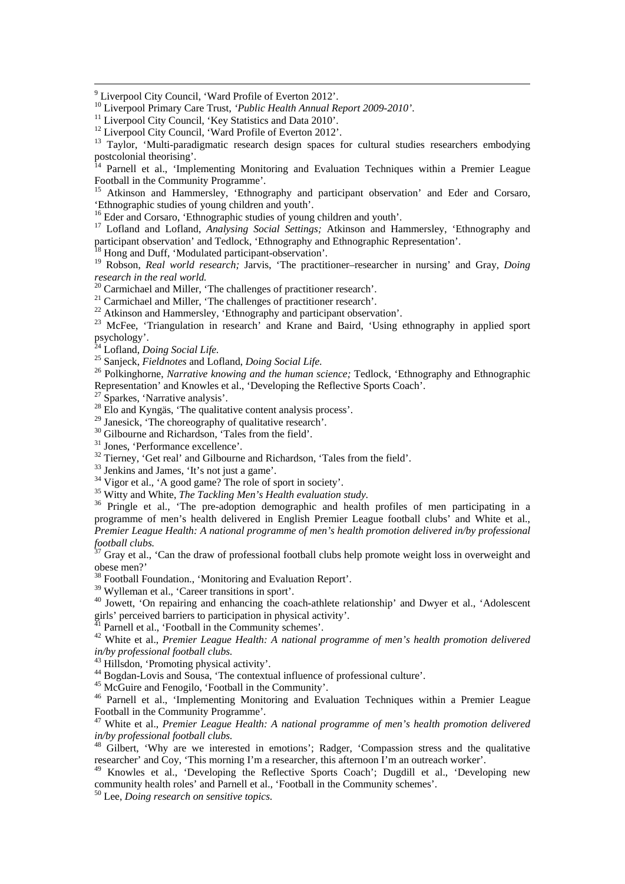-<br>9 <sup>9</sup> Liverpool City Council, 'Ward Profile of Everton 2012'.

<sup>10</sup> Liverpool Primary Care Trust, *'Public Health Annual Report 2009-2010'*.<br><sup>11</sup> Liverpool City Council, 'Key Statistics and Data 2010'.

<sup>13</sup> Taylor, 'Multi-paradigmatic research design spaces for cultural studies researchers embodying postcolonial theorising'.

<sup>14</sup> Parnell et al., 'Implementing Monitoring and Evaluation Techniques within a Premier League Football in the Community Programme'.

<sup>15</sup> Atkinson and Hammersley, 'Ethnography and participant observation' and Eder and Corsaro, 'Ethnographic studies of young children and youth'.

<sup>16</sup> Eder and Corsaro, 'Ethnographic studies of young children and youth'.

17 Lofland and Lofland, *Analysing Social Settings;* Atkinson and Hammersley, 'Ethnography and participant observation' and Tedlock, 'Ethnography and Ethnographic Representation'.

<sup>18</sup> Hong and Duff, 'Modulated participant-observation'.<br><sup>19</sup> Robson, *Real world research*; Jarvis, 'The practitioner–researcher in nursing' and Gray, *Doing research in the real world.*

 $20$  Carmichael and Miller, 'The challenges of practitioner research'.

 $21$  Carmichael and Miller, 'The challenges of practitioner research'.

 $^{22}$  Atkinson and Hammersley, 'Ethnography and participant observation'.

<sup>23</sup> McFee, 'Triangulation in research' and Krane and Baird, 'Using ethnography in applied sport psychology'.<br><sup>24</sup> Lofland, *Doing Social Life*.

24 Lofland, *Doing Social Life.* 25 Sanjeck, *Fieldnotes* and Lofland, *Doing Social Life.* 26 Polkinghorne, *Narrative knowing and the human science;* Tedlock, 'Ethnography and Ethnographic Representation' and Knowles et al., 'Developing the Reflective Sports Coach'.<br><sup>27</sup> Sparkes, 'Narrative analysis'.

 $28$  Elo and Kyngäs, 'The qualitative content analysis process'.

<sup>29</sup> Janesick, 'The choreography of qualitative research'.

<sup>30</sup> Gilbourne and Richardson, 'Tales from the field'.<br><sup>31</sup> Jones, 'Performance excellence'.

 $32$  Tierney, 'Get real' and Gilbourne and Richardson, 'Tales from the field'.  $33$  Jenkins and James, 'It's not just a game'.

 $34$  Vigor et al., 'A good game? The role of sport in society'.<br> $35$  Witty and White, *The Tackling Men's Health evaluation study*.

<sup>36</sup> Pringle et al., 'The pre-adoption demographic and health profiles of men participating in a programme of men's health delivered in English Premier League football clubs' and White et al., *Premier League Health: A national programme of men's health promotion delivered in/by professional football clubs.*

 $3^7$  Gray et al., 'Can the draw of professional football clubs help promote weight loss in overweight and obese men?'

<sup>38</sup> Football Foundation., 'Monitoring and Evaluation Report'.

39 Wylleman et al., 'Career transitions in sport'.

<sup>40</sup> Jowett, 'On repairing and enhancing the coach-athlete relationship' and Dwyer et al., 'Adolescent girls' perceived barriers to participation in physical activity'.

 $\overline{41}$  Parnell et al., 'Football in the Community schemes'.

42 White et al., *Premier League Health: A national programme of men's health promotion delivered in/by professional football clubs.*

43 Hillsdon, 'Promoting physical activity'.

44 Bogdan-Lovis and Sousa, 'The contextual influence of professional culture'.

45 McGuire and Fenogilo, 'Football in the Community'.

46 Parnell et al., 'Implementing Monitoring and Evaluation Techniques within a Premier League Football in the Community Programme'.

47 White et al., *Premier League Health: A national programme of men's health promotion delivered in/by professional football clubs.*

<sup>48</sup> Gilbert, 'Why are we interested in emotions'; Radger, 'Compassion stress and the qualitative researcher' and Coy, 'This morning I'm a researcher, this afternoon I'm an outreach worker'.

<sup>49</sup> Knowles et al., 'Developing the Reflective Sports Coach'; Dugdill et al., 'Developing new community health roles' and Parnell et al., 'Football in the Community schemes'.

50 Lee, *Doing research on sensitive topics.*

<sup>&</sup>lt;sup>12</sup> Liverpool City Council, 'Ward Profile of Everton 2012'.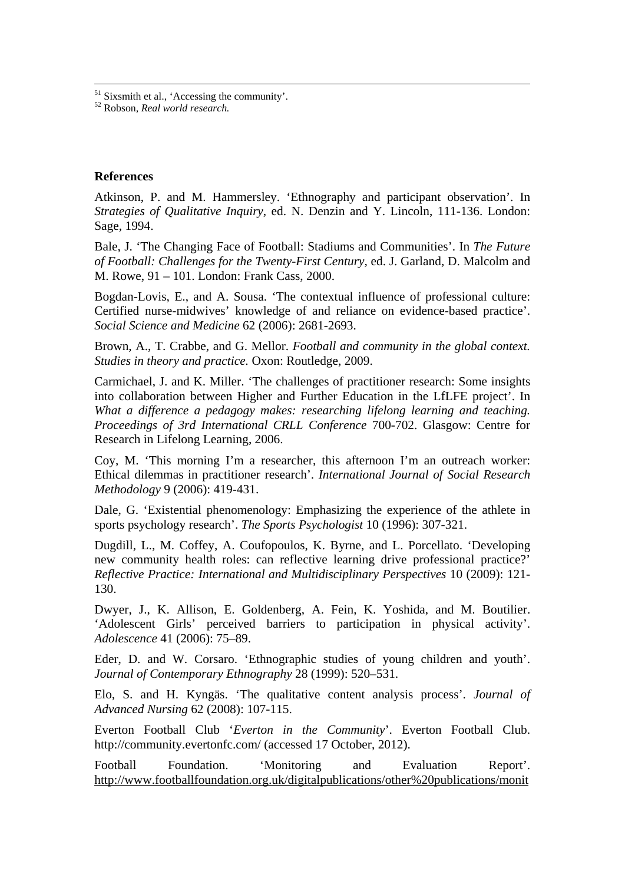51 Sixsmith et al., 'Accessing the community'.

52 Robson, *Real world research.* 

#### **References**

Atkinson, P. and M. Hammersley. 'Ethnography and participant observation'. In *Strategies of Qualitative Inquiry*, ed. N. Denzin and Y. Lincoln, 111-136. London: Sage, 1994.

Bale, J. 'The Changing Face of Football: Stadiums and Communities'. In *The Future of Football: Challenges for the Twenty-First Century,* ed. J. Garland, D. Malcolm and M. Rowe, 91 – 101. London: Frank Cass, 2000.

Bogdan-Lovis, E., and A. Sousa. 'The contextual influence of professional culture: Certified nurse-midwives' knowledge of and reliance on evidence-based practice'. *Social Science and Medicine* 62 (2006): 2681-2693.

Brown, A., T. Crabbe, and G. Mellor. *Football and community in the global context. Studies in theory and practice.* Oxon: Routledge, 2009.

Carmichael, J. and K. Miller. 'The challenges of practitioner research: Some insights into collaboration between Higher and Further Education in the LfLFE project'. In *What a difference a pedagogy makes: researching lifelong learning and teaching. Proceedings of 3rd International CRLL Conference* 700-702. Glasgow: Centre for Research in Lifelong Learning, 2006.

Coy, M. 'This morning I'm a researcher, this afternoon I'm an outreach worker: Ethical dilemmas in practitioner research'. *International Journal of Social Research Methodology* 9 (2006): 419-431.

Dale, G. 'Existential phenomenology: Emphasizing the experience of the athlete in sports psychology research'. *The Sports Psychologist* 10 (1996): 307-321.

Dugdill, L., M. Coffey, A. Coufopoulos, K. Byrne, and L. Porcellato. 'Developing new community health roles: can reflective learning drive professional practice?' *Reflective Practice: International and Multidisciplinary Perspectives* 10 (2009): 121- 130.

Dwyer, J., K. Allison, E. Goldenberg, A. Fein, K. Yoshida, and M. Boutilier. 'Adolescent Girls' perceived barriers to participation in physical activity'. *Adolescence* 41 (2006): 75–89.

Eder, D. and W. Corsaro. 'Ethnographic studies of young children and youth'. *Journal of Contemporary Ethnography* 28 (1999): 520–531.

Elo, S. and H. Kyngäs. 'The qualitative content analysis process'. *Journal of Advanced Nursing* 62 (2008): 107-115.

Everton Football Club '*Everton in the Community*'. Everton Football Club. http://community.evertonfc.com/ (accessed 17 October, 2012).

Football Foundation. 'Monitoring and Evaluation Report'. http://www.footballfoundation.org.uk/digitalpublications/other%20publications/monit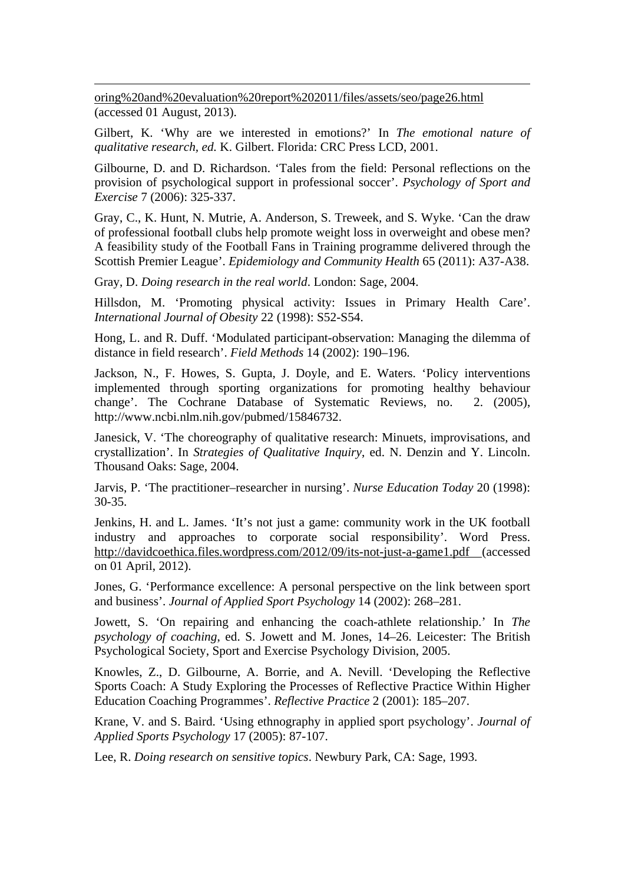oring%20and%20evaluation%20report%202011/files/assets/seo/page26.html (accessed 01 August, 2013).

1

Gilbert, K. 'Why are we interested in emotions?' In *The emotional nature of qualitative research, ed.* K. Gilbert. Florida: CRC Press LCD, 2001.

Gilbourne, D. and D. Richardson. 'Tales from the field: Personal reflections on the provision of psychological support in professional soccer'. *Psychology of Sport and Exercise* 7 (2006): 325-337.

Gray, C., K. Hunt, N. Mutrie, A. Anderson, S. Treweek, and S. Wyke. 'Can the draw of professional football clubs help promote weight loss in overweight and obese men? A feasibility study of the Football Fans in Training programme delivered through the Scottish Premier League'. *Epidemiology and Community Health* 65 (2011): A37-A38.

Gray, D. *Doing research in the real world*. London: Sage, 2004.

Hillsdon, M. 'Promoting physical activity: Issues in Primary Health Care'. *International Journal of Obesity* 22 (1998): S52-S54.

Hong, L. and R. Duff. 'Modulated participant-observation: Managing the dilemma of distance in field research'. *Field Methods* 14 (2002): 190–196.

Jackson, N., F. Howes, S. Gupta, J. Doyle, and E. Waters. 'Policy interventions implemented through sporting organizations for promoting healthy behaviour change'. The Cochrane Database of Systematic Reviews, no. 2. (2005), http://www.ncbi.nlm.nih.gov/pubmed/15846732.

Janesick, V. 'The choreography of qualitative research: Minuets, improvisations, and crystallization'. In *Strategies of Qualitative Inquiry*, ed. N. Denzin and Y. Lincoln. Thousand Oaks: Sage, 2004.

Jarvis, P. 'The practitioner–researcher in nursing'. *Nurse Education Today* 20 (1998): 30-35.

Jenkins, H. and L. James. 'It's not just a game: community work in the UK football industry and approaches to corporate social responsibility'. Word Press. http://davidcoethica.files.wordpress.com/2012/09/its-not-just-a-game1.pdf (accessed on 01 April, 2012).

Jones, G. 'Performance excellence: A personal perspective on the link between sport and business'. *Journal of Applied Sport Psychology* 14 (2002): 268–281.

Jowett, S. 'On repairing and enhancing the coach-athlete relationship.' In *The psychology of coaching*, ed. S. Jowett and M. Jones, 14–26. Leicester: The British Psychological Society, Sport and Exercise Psychology Division, 2005.

Knowles, Z., D. Gilbourne, A. Borrie, and A. Nevill. 'Developing the Reflective Sports Coach: A Study Exploring the Processes of Reflective Practice Within Higher Education Coaching Programmes'. *Reflective Practice* 2 (2001): 185–207.

Krane, V. and S. Baird. 'Using ethnography in applied sport psychology'. *Journal of Applied Sports Psychology* 17 (2005): 87-107.

Lee, R. *Doing research on sensitive topics*. Newbury Park, CA: Sage, 1993.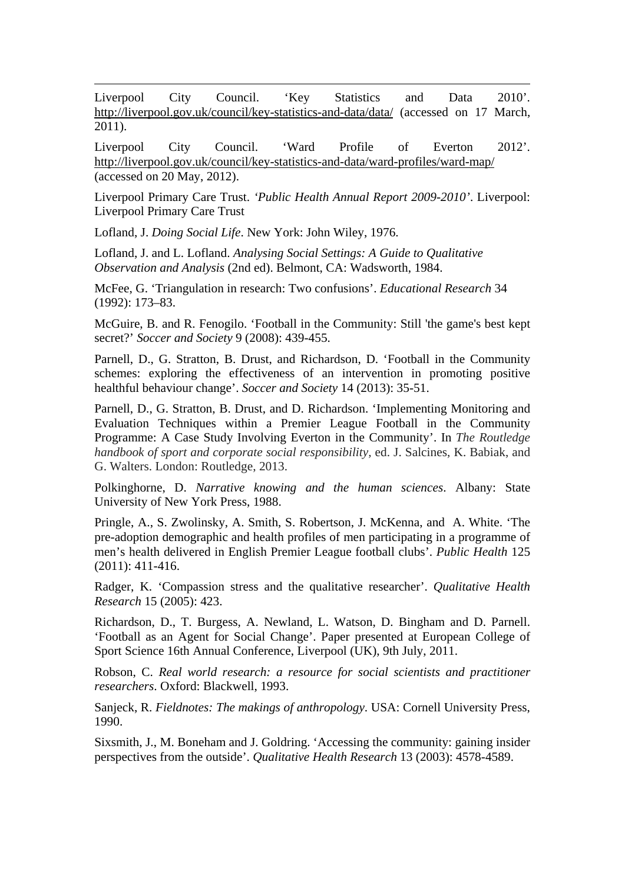1 Liverpool City Council. 'Key Statistics and Data 2010'. http://liverpool.gov.uk/council/key-statistics-and-data/data/ (accessed on 17 March, 2011).

Liverpool City Council. 'Ward Profile of Everton 2012'. http://liverpool.gov.uk/council/key-statistics-and-data/ward-profiles/ward-map/ (accessed on 20 May, 2012).

Liverpool Primary Care Trust. *'Public Health Annual Report 2009-2010'*. Liverpool: Liverpool Primary Care Trust

Lofland, J. *Doing Social Life*. New York: John Wiley, 1976.

Lofland, J. and L. Lofland. *Analysing Social Settings: A Guide to Qualitative Observation and Analysis* (2nd ed). Belmont, CA: Wadsworth, 1984.

McFee, G. 'Triangulation in research: Two confusions'. *Educational Research* 34 (1992): 173–83.

McGuire, B. and R. Fenogilo. 'Football in the Community: Still 'the game's best kept secret?' *Soccer and Society* 9 (2008): 439-455.

Parnell, D., G. Stratton, B. Drust, and Richardson, D. 'Football in the Community schemes: exploring the effectiveness of an intervention in promoting positive healthful behaviour change'. *Soccer and Society* 14 (2013): 35-51.

Parnell, D., G. Stratton, B. Drust, and D. Richardson. 'Implementing Monitoring and Evaluation Techniques within a Premier League Football in the Community Programme: A Case Study Involving Everton in the Community'. In *The Routledge handbook of sport and corporate social responsibility,* ed. J. Salcines, K. Babiak, and G. Walters. London: Routledge, 2013.

Polkinghorne, D. *Narrative knowing and the human sciences*. Albany: State University of New York Press, 1988.

Pringle, A., S. Zwolinsky, A. Smith, S. Robertson, J. McKenna, and A. White. 'The pre-adoption demographic and health profiles of men participating in a programme of men's health delivered in English Premier League football clubs'. *Public Health* 125 (2011): 411-416.

Radger, K. 'Compassion stress and the qualitative researcher'. *Qualitative Health Research* 15 (2005): 423.

Richardson, D., T. Burgess, A. Newland, L. Watson, D. Bingham and D. Parnell. 'Football as an Agent for Social Change'. Paper presented at European College of Sport Science 16th Annual Conference, Liverpool (UK), 9th July, 2011.

Robson, C. *Real world research: a resource for social scientists and practitioner researchers*. Oxford: Blackwell, 1993.

Sanjeck, R. *Fieldnotes: The makings of anthropology*. USA: Cornell University Press, 1990.

Sixsmith, J., M. Boneham and J. Goldring. 'Accessing the community: gaining insider perspectives from the outside'. *Qualitative Health Research* 13 (2003): 4578-4589.